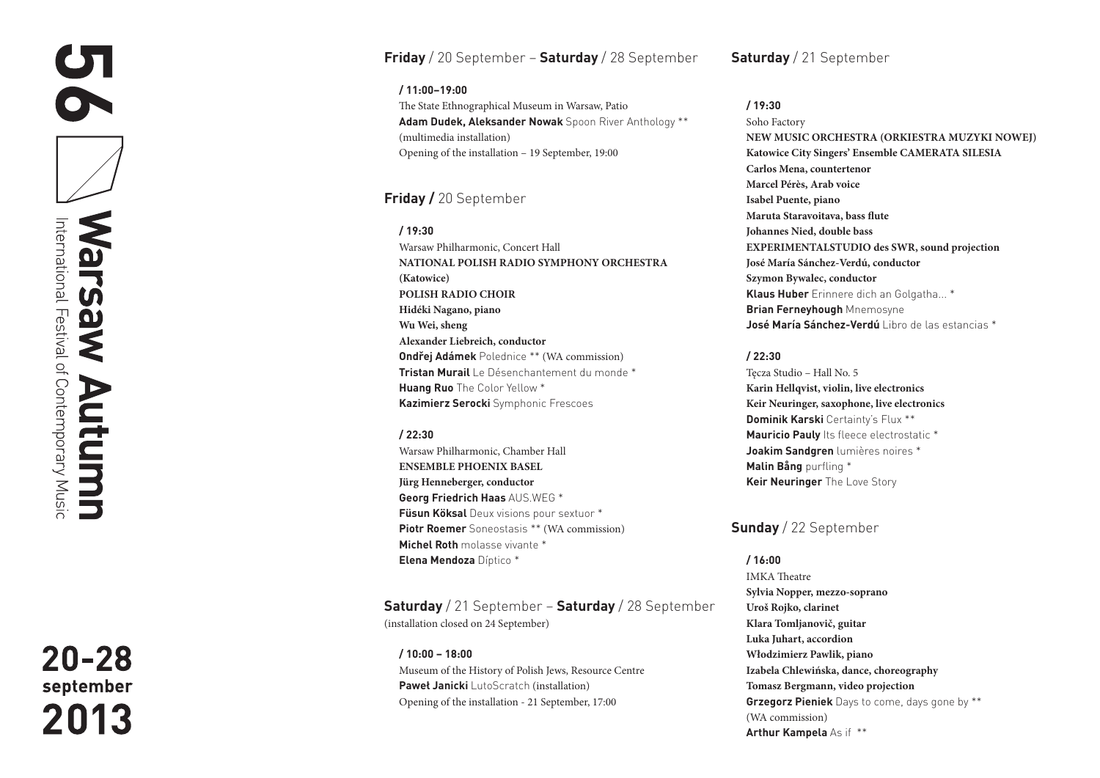# **Friday** / 20 September – **Saturday** / 28 September

**/ 11:00–19:00**  The State Ethnographical Museum in Warsaw, Patio **Adam Dudek, Aleksander Nowak** Spoon River Anthology \*\* (multimedia installation) Opening of the installation – 19 September, 19:00

# **Friday /** 20 September

**/ 19:30**  Warsaw Philharmonic, Concert Hall **NATIONAL POLISH RADIO SYMPHONY ORCHESTRA (Katowice) POLISH RADIO CHOIR Hidéki Nagano, piano Wu Wei, sheng Alexander Liebreich, conductor Ondřej Adámek** Polednice \*\* (WA commission) **Tristan Murail** Le Désenchantement du monde \* **Huang Ruo** The Color Yellow \* **Kazimierz Serocki** Symphonic Frescoes

### **/ 22:30**

Warsaw Philharmonic, Chamber Hall **ENSEMBLE PHOENIX BASEL Jürg Henneberger, conductor Georg Friedrich Haas** AUS.WEG \* **Füsun Köksal** Deux visions pour sextuor \* **Piotr Roemer** Soneostasis \*\* (WA commission) **Michel Roth** molasse vivante \* **Elena Mendoza** Díptico \*

**Saturday** / 21 September – **Saturday** / 28 September (installation closed on 24 September)

**/ 10:00 – 18:00** Museum of the History of Polish Jews, Resource Centre **Paweł Janicki** LutoScratch (installation) Opening of the installation - 21 September, 17:00

**Saturday** / 21 September

### **/ 19:30**

Soho Factory **NEW MUSIC ORCHESTRA (ORKIESTRA MUZYKI NOWEJ) Katowice City Singers' Ensemble CAMERATA SILESIA Carlos Mena, countertenor Marcel Pérès, Arab voice Isabel Puente, piano Maruta Staravoitava, bass flute Johannes Nied, double bass EXPERIMENTALSTUDIO des SWR, sound projection José María Sánchez-Verdú, conductor Szymon Bywalec, conductor Klaus Huber** Erinnere dich an Golgatha... \* **Brian Ferneyhough** Mnemosyne **José María Sánchez-Verdú** Libro de las estancias \*

### **/ 22:30**

Tęcza Studio – Hall No. 5 **Karin Hellqvist, violin, live electronics Keir Neuringer, saxophone, live electronics Dominik Karski** Certainty's Flux \*\* **Mauricio Pauly** Its fleece electrostatic \* **Joakim Sandgren** lumières noires \* **Malin Bång** purfling \* **Keir Neuringer** The Love Story

**Sunday** / 22 September

#### **/ 16:00**

IMKA Theatre **Sylvia Nopper, mezzo-soprano Uroš Rojko, clarinet Klara Tomljanovič, guitar Luka Juhart, accordion Włodzimierz Pawlik, piano Izabela Chlewińska, dance, choreography Tomasz Bergmann, video projection Grzegorz Pieniek** Days to come, days gone by \*\* (WA commission) **Arthur Kampela** As if \*\*

 $20 - 28$ september 2013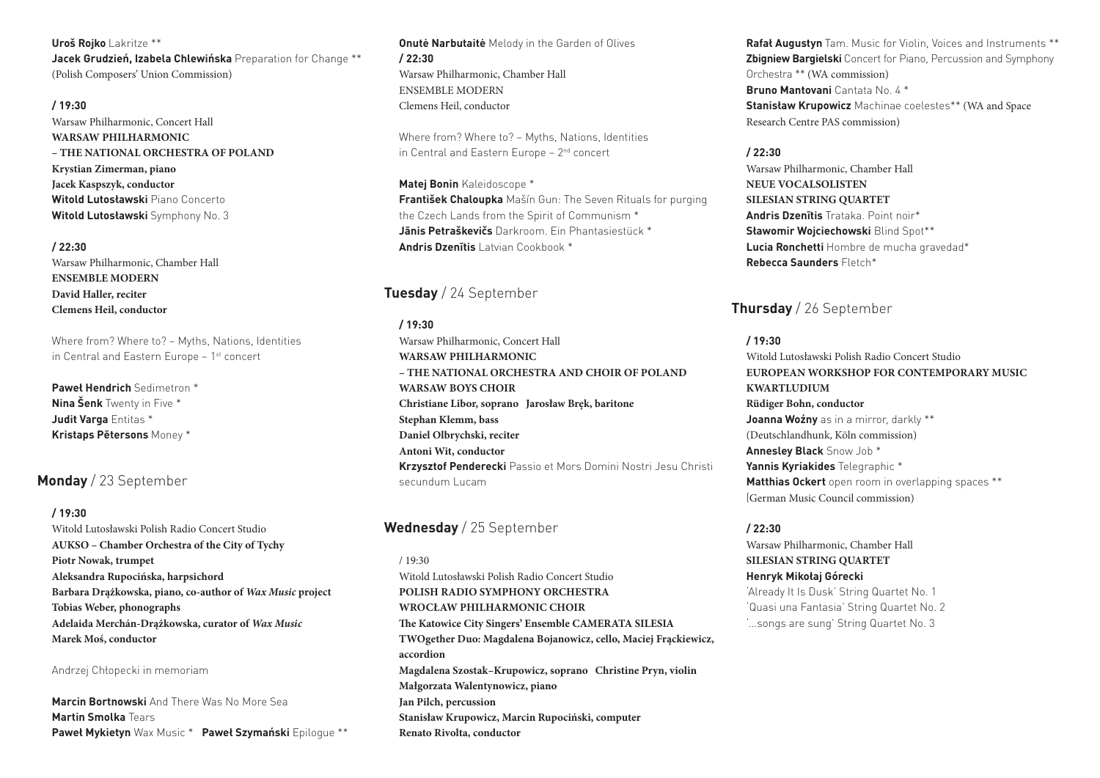#### **Uroš Rojko** Lakritze \*\*

**Jacek Grudzień, Izabela Chlewińska** Preparation for Change \*\* (Polish Composers' Union Commission)

#### **/ 19:30**

Warsaw Philharmonic, Concert Hall **WARSAW PHILHARMONIC – THE NATIONAL ORCHESTRA OF POLAND Krystian Zimerman, piano Jacek Kaspszyk, conductor Witold Lutosławski** Piano Concerto **Witold Lutosławski** Symphony No. 3

#### **/ 22:30**

Warsaw Philharmonic, Chamber Hall **ENSEMBLE MODERN David Haller, reciter Clemens Heil, conductor** 

Where from? Where to? – Myths, Nations, Identities in Central and Eastern Europe - 1<sup>st</sup> concert

**Paweł Hendrich** Sedimetron \* **Nina Šenk** Twenty in Five \* **Judit Varga** Entitas \* **Kristaps Pētersons** Money \*

## **Monday** / 23 September

#### **/ 19:30**

Witold Lutosławski Polish Radio Concert Studio **AUKSO – Chamber Orchestra of the City of Tychy Piotr Nowak, trumpet Aleksandra Rupocińska, harpsichord Barbara Drążkowska, piano, co-author of** *Wax Music* **project Tobias Weber, phonographs Adelaida Merchán-Drążkowska, curator of** *Wax Music* **Marek Moś, conductor** 

Andrzej Chłopecki in memoriam

**Marcin Bortnowski** And There Was No More Sea **Martin Smolka** Tears **Paweł Mykietyn** Wax Music \* **Paweł Szymański** Epilogue \*\*

**Onutė Narbutaitė** Melody in the Garden of Olives **/ 22:30**  Warsaw Philharmonic, Chamber Hall ENSEMBLE MODERN Clemens Heil, conductor

Where from? Where to? – Myths, Nations, Identities in Central and Eastern Europe – 2nd concert

**Matej Bonin** Kaleidoscope \* **František Chaloupka** Mašín Gun: The Seven Rituals for purging the Czech Lands from the Spirit of Communism \* **Jānis Petraškevičs** Darkroom. Ein Phantasiestück \* **Andris Dzenītis** Latvian Cookbook \*

## **Tuesday** / 24 September

#### **/ 19:30**

Warsaw Philharmonic, Concert Hall **WARSAW PHILHARMONIC – THE NATIONAL ORCHESTRA AND CHOIR OF POLAND WARSAW BOYS CHOIR Christiane Libor, soprano Jarosław Bręk, baritone Stephan Klemm, bass Daniel Olbrychski, reciter Antoni Wit, conductor Krzysztof Penderecki** Passio et Mors Domini Nostri Jesu Christi secundum Lucam

## **Wednesday** / 25 September

 $/19.30$ Witold Lutosławski Polish Radio Concert Studio **POLISH RADIO SYMPHONY ORCHESTRA WROCŁAW PHILHARMONIC CHOIR The Katowice City Singers' Ensemble CAMERATA SILESIA TWOgether Duo: Magdalena Bojanowicz, cello, Maciej Frąckiewicz, accordion Magdalena Szostak–Krupowicz, soprano Christine Pryn, violin Małgorzata Walentynowicz, piano Jan Pilch, percussion Stanisław Krupowicz, Marcin Rupociński, computer Renato Rivolta, conductor** 

**Rafał Augustyn** Tam. Music for Violin, Voices and Instruments \*\* **Zbigniew Bargielski** Concert for Piano, Percussion and Symphony Orchestra \*\* (WA commission) **Bruno Mantovani** Cantata No. 4 \* **Stanisław Krupowicz** Machinae coelestes\*\* (WA and Space Research Centre PAS commission)

#### **/ 22:30**

Warsaw Philharmonic, Chamber Hall **NEUE VOCALSOLISTEN SILESIAN STRING QUARTET Andris Dzenītis** Trataka. Point noir\* **Sławomir Wojciechowski** Blind Spot\*\* **Lucia Ronchetti** Hombre de mucha gravedad\* **Rebecca Saunders** Fletch\*

# **Thursday** / 26 September

### **/ 19:30**

Witold Lutosławski Polish Radio Concert Studio **EUROPEAN WORKSHOP FOR CONTEMPORARY MUSIC KWARTLUDIUM Rüdiger Bohn, conductor Joanna Woźny** as in a mirror, darkly \*\* (Deutschlandhunk, Köln commission) **Annesley Black** Snow Job \* **Yannis Kyriakides** Telegraphic \* **Matthias Ockert** open room in overlapping spaces \*\* (German Music Council commission)

#### **/ 22:30**

Warsaw Philharmonic, Chamber Hall **SILESIAN STRING QUARTET Henryk Mikołaj Górecki**  'Already It Is Dusk' String Quartet No. 1 'Quasi una Fantasia' String Quartet No. 2 '...songs are sung' String Quartet No. 3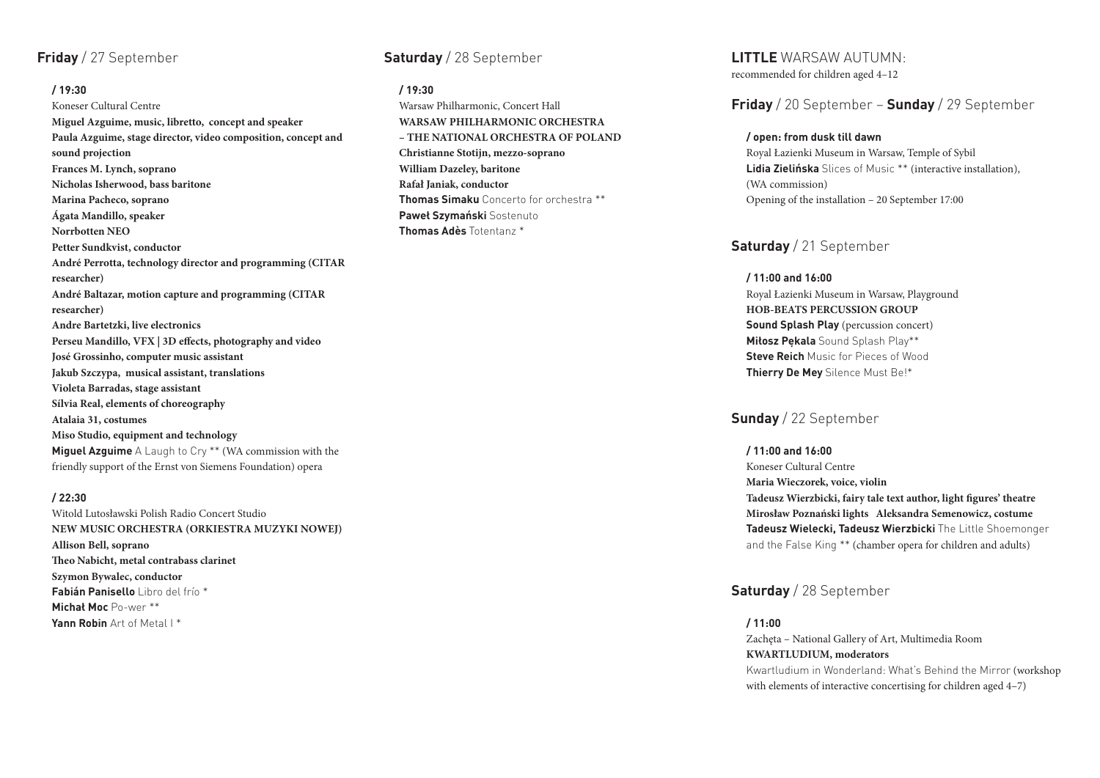# **Friday** / 27 September

#### **/ 19:30**

Koneser Cultural Centre **Miguel Azguime, music, libretto, concept and speaker Paula Azguime, stage director, video composition, concept and sound projection Frances M. Lynch, soprano Nicholas Isherwood, bass baritone Marina Pacheco, soprano Ágata Mandillo, speaker Norrbotten NEO Petter Sundkvist, conductor André Perrotta, technology director and programming (CITAR researcher) André Baltazar, motion capture and programming (CITAR researcher) Andre Bartetzki, live electronics Perseu Mandillo, VFX | 3D effects, photography and video José Grossinho, computer music assistant Jakub Szczypa, musical assistant, translations Violeta Barradas, stage assistant Sílvia Real, elements of choreography Atalaia 31, costumes Miso Studio, equipment and technology Miguel Azguime** A Laugh to Cry \*\* (WA commission with the friendly support of the Ernst von Siemens Foundation) opera

#### **/ 22:30**

Witold Lutosławski Polish Radio Concert Studio **NEW MUSIC ORCHESTRA (ORKIESTRA MUZYKI NOWEJ) Allison Bell, soprano Theo Nabicht, metal contrabass clarinet Szymon Bywalec, conductor Fabián Panisello** Libro del frío \* **Michał Moc** Po-wer \*\* **Yann Robin** Art of Metal I \*

# **Saturday** / 28 September

### **/ 19:30**

Warsaw Philharmonic, Concert Hall **WARSAW PHILHARMONIC ORCHESTRA – THE NATIONAL ORCHESTRA OF POLAND Christianne Stotijn, mezzo-soprano William Dazeley, baritone Rafał Janiak, conductor Thomas Simaku** Concerto for orchestra \*\* **Paweł Szymański** Sostenuto **Thomas Adès** Totentanz \*

**LITTLE** WARSAW AUTUMN: recommended for children aged 4–12

**Friday** / 20 September – **Sunday** / 29 September

### **/ open: from dusk till dawn**

Royal Łazienki Museum in Warsaw, Temple of Sybil **Lidia Zielińska** Slices of Music \*\* (interactive installation), (WA commission) Opening of the installation – 20 September 17:00

# **Saturday** / 21 September

**/ 11:00 and 16:00**  Royal Łazienki Museum in Warsaw, Playground **HOB-BEATS PERCUSSION GROUP Sound Splash Play** (percussion concert) **Miłosz Pękala** Sound Splash Play\*\* **Steve Reich** Music for Pieces of Wood **Thierry De Mey** Silence Must Be!\*

## **Sunday** / 22 September

**/ 11:00 and 16:00** Koneser Cultural Centre **Maria Wieczorek, voice, violin Tadeusz Wierzbicki, fairy tale text author, light figures' theatre Mirosław Poznański lights Aleksandra Semenowicz, costume Tadeusz Wielecki, Tadeusz Wierzbicki** The Little Shoemonger and the False King \*\* (chamber opera for children and adults)

# **Saturday** / 28 September

**/ 11:00**  Zachęta – National Gallery of Art, Multimedia Room **KWARTLUDIUM, moderators** Kwartludium in Wonderland: What's Behind the Mirror (workshop with elements of interactive concertising for children aged 4–7)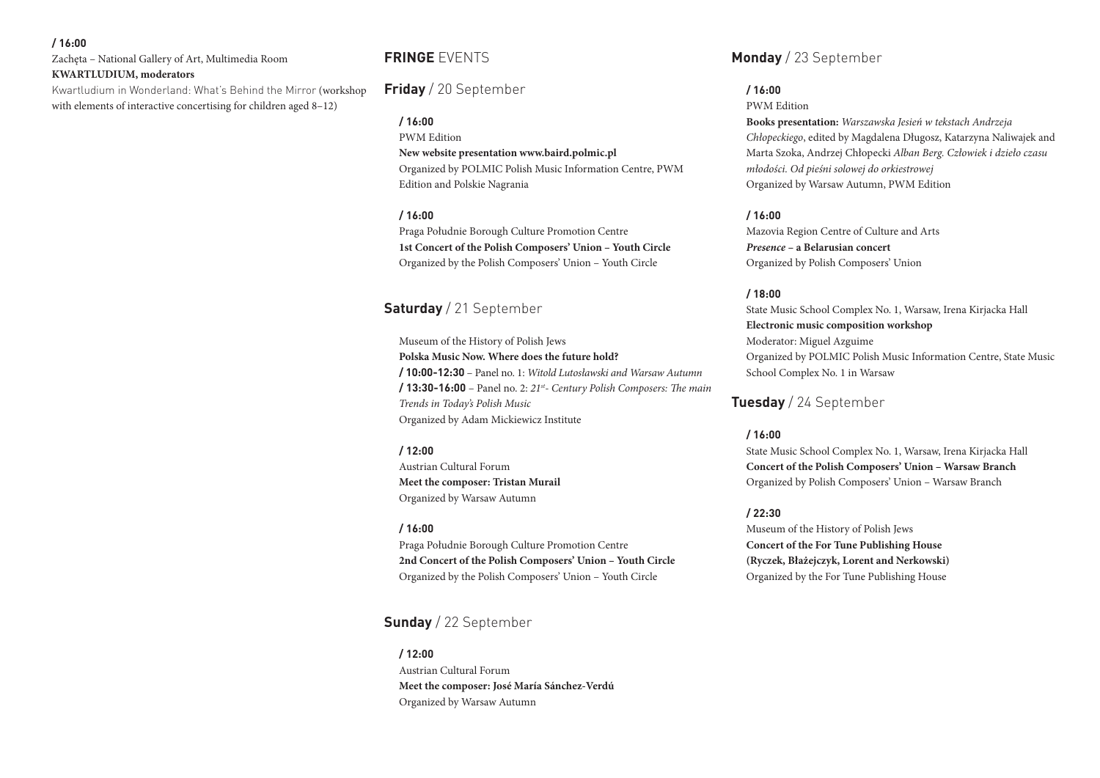#### **/ 16:00**

Zachęta – National Gallery of Art, Multimedia Room **KWARTLUDIUM, moderators**

Kwartludium in Wonderland: What's Behind the Mirror (workshop with elements of interactive concertising for children aged 8–12)

# **FRINGE** EVENTS

**Friday** / 20 September

#### **/ 16:00**

PWM Edition

**New website presentation www.baird.polmic.pl** Organized by POLMIC Polish Music Information Centre, PWM Edition and Polskie Nagrania

#### **/ 16:00**

Praga Południe Borough Culture Promotion Centre **1st Concert of the Polish Composers' Union – Youth Circle**  Organized by the Polish Composers' Union – Youth Circle

# **Saturday** / 21 September

Museum of the History of Polish Jews **Polska Music Now. Where does the future hold? / 10:00-12:30** – Panel no. 1: *Witold Lutosławski and Warsaw Autumn* **/ 13:30-16:00** – Panel no. 2: *21st- Century Polish Composers: The main Trends in Today's Polish Music* Organized by Adam Mickiewicz Institute

#### **/ 12:00**

Austrian Cultural Forum **Meet the composer: Tristan Murail**  Organized by Warsaw Autumn

#### **/ 16:00**

Praga Południe Borough Culture Promotion Centre **2nd Concert of the Polish Composers' Union – Youth Circle** Organized by the Polish Composers' Union – Youth Circle

# **Sunday** / 22 September

**/ 12:00** Austrian Cultural Forum **Meet the composer: José María Sánchez-Verdú** Organized by Warsaw Autumn

**Monday** / 23 September

## **/ 16:00**

PWM Edition

**Books presentation:** *Warszawska Jesień w tekstach Andrzeja Chłopeckiego*, edited by Magdalena Długosz, Katarzyna Naliwajek and Marta Szoka, Andrzej Chłopecki *Alban Berg. Człowiek i dzieło czasu młodości. Od pieśni solowej do orkiestrowej* Organized by Warsaw Autumn, PWM Edition

### **/ 16:00**

Mazovia Region Centre of Culture and Arts *Presence* **– a Belarusian concert**  Organized by Polish Composers' Union

### **/ 18:00**

State Music School Complex No. 1, Warsaw, Irena Kirjacka Hall **Electronic music composition workshop** Moderator: Miguel Azguime Organized by POLMIC Polish Music Information Centre, State Music School Complex No. 1 in Warsaw

**Tuesday** / 24 September

#### **/ 16:00**

State Music School Complex No. 1, Warsaw, Irena Kirjacka Hall **Concert of the Polish Composers' Union – Warsaw Branch**  Organized by Polish Composers' Union – Warsaw Branch

#### **/ 22:30**

Museum of the History of Polish Jews **Concert of the For Tune Publishing House (Ryczek, Błażejczyk, Lorent and Nerkowski)** Organized by the For Tune Publishing House